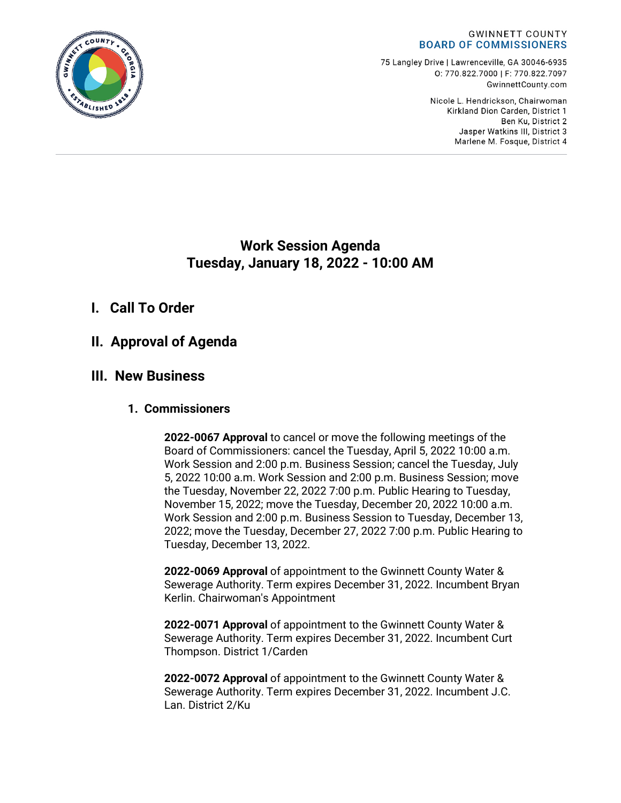#### **GWINNETT COUNTY BOARD OF COMMISSIONERS**

75 Langley Drive | Lawrenceville, GA 30046-6935 0:770.822.7000 | F: 770.822.7097 GwinnettCounty.com

> Nicole L. Hendrickson, Chairwoman Kirkland Dion Carden, District 1 Ben Ku. District 2 Jasper Watkins III, District 3 Marlene M. Fosque, District 4

# **Work Session Agenda Tuesday, January 18, 2022 - 10:00 AM**

# **I. Call To Order**

# **II. Approval of Agenda**

# **III. New Business**

# **1. Commissioners**

**2022-0067 Approval** to cancel or move the following meetings of the Board of Commissioners: cancel the Tuesday, April 5, 2022 10:00 a.m. Work Session and 2:00 p.m. Business Session; cancel the Tuesday, July 5, 2022 10:00 a.m. Work Session and 2:00 p.m. Business Session; move the Tuesday, November 22, 2022 7:00 p.m. Public Hearing to Tuesday, November 15, 2022; move the Tuesday, December 20, 2022 10:00 a.m. Work Session and 2:00 p.m. Business Session to Tuesday, December 13, 2022; move the Tuesday, December 27, 2022 7:00 p.m. Public Hearing to Tuesday, December 13, 2022.

**2022-0069 Approval** of appointment to the Gwinnett County Water & Sewerage Authority. Term expires December 31, 2022. Incumbent Bryan Kerlin. Chairwoman's Appointment

**2022-0071 Approval** of appointment to the Gwinnett County Water & Sewerage Authority. Term expires December 31, 2022. Incumbent Curt Thompson. District 1/Carden

**2022-0072 Approval** of appointment to the Gwinnett County Water & Sewerage Authority. Term expires December 31, 2022. Incumbent J.C. Lan. District 2/Ku

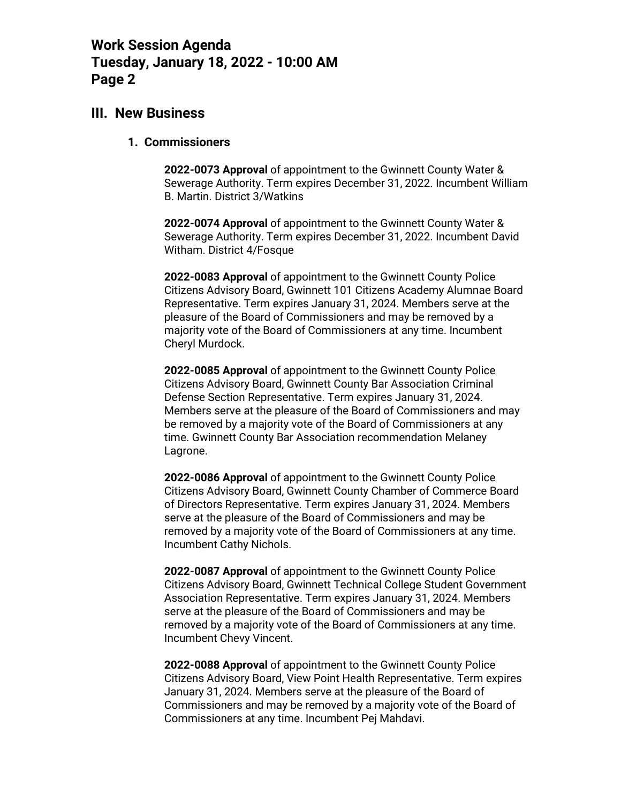# **III. New Business**

### **1. Commissioners**

**2022-0073 Approval** of appointment to the Gwinnett County Water & Sewerage Authority. Term expires December 31, 2022. Incumbent William B. Martin. District 3/Watkins

**2022-0074 Approval** of appointment to the Gwinnett County Water & Sewerage Authority. Term expires December 31, 2022. Incumbent David Witham. District 4/Fosque

**2022-0083 Approval** of appointment to the Gwinnett County Police Citizens Advisory Board, Gwinnett 101 Citizens Academy Alumnae Board Representative. Term expires January 31, 2024. Members serve at the pleasure of the Board of Commissioners and may be removed by a majority vote of the Board of Commissioners at any time. Incumbent Cheryl Murdock.

**2022-0085 Approval** of appointment to the Gwinnett County Police Citizens Advisory Board, Gwinnett County Bar Association Criminal Defense Section Representative. Term expires January 31, 2024. Members serve at the pleasure of the Board of Commissioners and may be removed by a majority vote of the Board of Commissioners at any time. Gwinnett County Bar Association recommendation Melaney Lagrone.

**2022-0086 Approval** of appointment to the Gwinnett County Police Citizens Advisory Board, Gwinnett County Chamber of Commerce Board of Directors Representative. Term expires January 31, 2024. Members serve at the pleasure of the Board of Commissioners and may be removed by a majority vote of the Board of Commissioners at any time. Incumbent Cathy Nichols.

**2022-0087 Approval** of appointment to the Gwinnett County Police Citizens Advisory Board, Gwinnett Technical College Student Government Association Representative. Term expires January 31, 2024. Members serve at the pleasure of the Board of Commissioners and may be removed by a majority vote of the Board of Commissioners at any time. Incumbent Chevy Vincent.

**2022-0088 Approval** of appointment to the Gwinnett County Police Citizens Advisory Board, View Point Health Representative. Term expires January 31, 2024. Members serve at the pleasure of the Board of Commissioners and may be removed by a majority vote of the Board of Commissioners at any time. Incumbent Pej Mahdavi.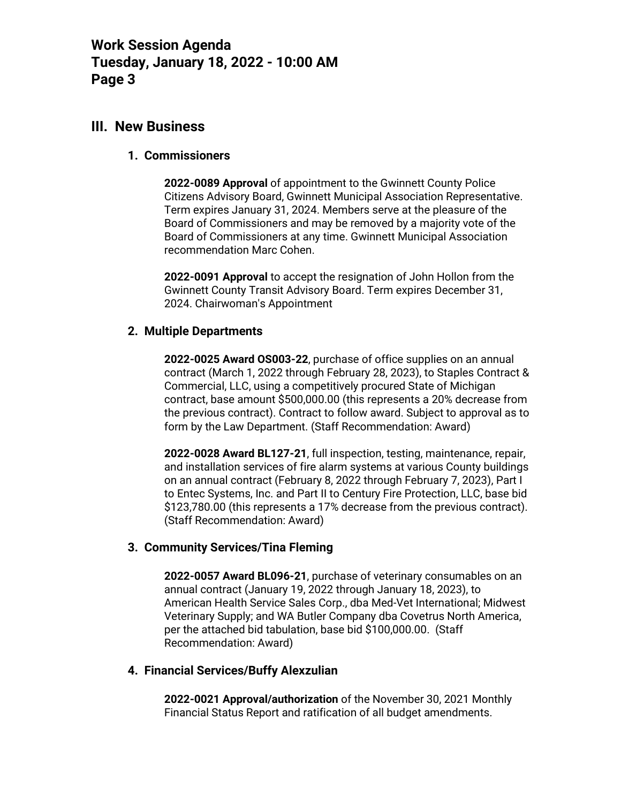## **III. New Business**

### **1. Commissioners**

**2022-0089 Approval** of appointment to the Gwinnett County Police Citizens Advisory Board, Gwinnett Municipal Association Representative. Term expires January 31, 2024. Members serve at the pleasure of the Board of Commissioners and may be removed by a majority vote of the Board of Commissioners at any time. Gwinnett Municipal Association recommendation Marc Cohen.

**2022-0091 Approval** to accept the resignation of John Hollon from the Gwinnett County Transit Advisory Board. Term expires December 31, 2024. Chairwoman's Appointment

## **2. Multiple Departments**

**2022-0025 Award OS003-22**, purchase of office supplies on an annual contract (March 1, 2022 through February 28, 2023), to Staples Contract & Commercial, LLC, using a competitively procured State of Michigan contract, base amount \$500,000.00 (this represents a 20% decrease from the previous contract). Contract to follow award. Subject to approval as to form by the Law Department. (Staff Recommendation: Award)

**2022-0028 Award BL127-21**, full inspection, testing, maintenance, repair, and installation services of fire alarm systems at various County buildings on an annual contract (February 8, 2022 through February 7, 2023), Part I to Entec Systems, Inc. and Part II to Century Fire Protection, LLC, base bid \$123,780.00 (this represents a 17% decrease from the previous contract). (Staff Recommendation: Award)

## **3. Community Services/Tina Fleming**

**2022-0057 Award BL096-21**, purchase of veterinary consumables on an annual contract (January 19, 2022 through January 18, 2023), to American Health Service Sales Corp., dba Med-Vet International; Midwest Veterinary Supply; and WA Butler Company dba Covetrus North America, per the attached bid tabulation, base bid \$100,000.00. (Staff Recommendation: Award)

#### **4. Financial Services/Buffy Alexzulian**

**2022-0021 Approval/authorization** of the November 30, 2021 Monthly Financial Status Report and ratification of all budget amendments.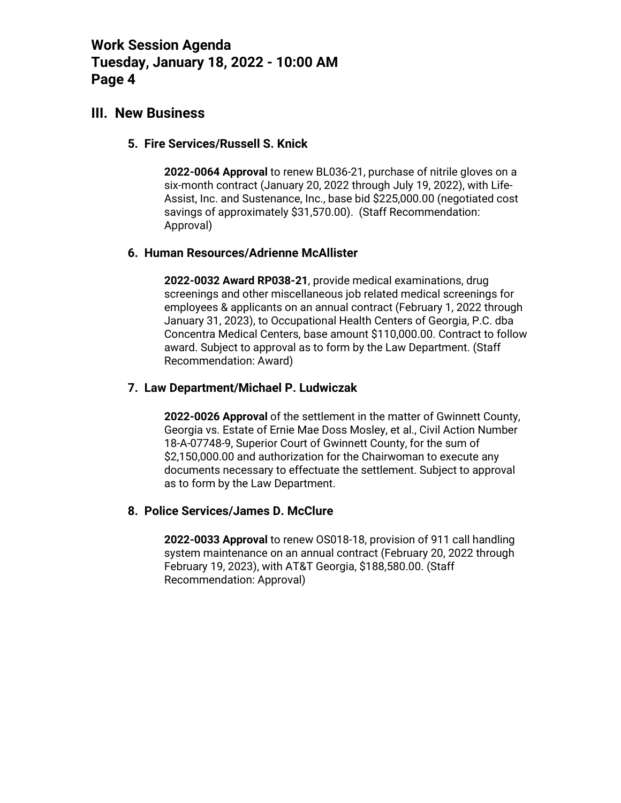# **III. New Business**

### **5. Fire Services/Russell S. Knick**

**2022-0064 Approval** to renew BL036-21, purchase of nitrile gloves on a six-month contract (January 20, 2022 through July 19, 2022), with Life-Assist, Inc. and Sustenance, Inc., base bid \$225,000.00 (negotiated cost savings of approximately \$31,570.00). (Staff Recommendation: Approval)

### **6. Human Resources/Adrienne McAllister**

**2022-0032 Award RP038-21**, provide medical examinations, drug screenings and other miscellaneous job related medical screenings for employees & applicants on an annual contract (February 1, 2022 through January 31, 2023), to Occupational Health Centers of Georgia, P.C. dba Concentra Medical Centers, base amount \$110,000.00. Contract to follow award. Subject to approval as to form by the Law Department. (Staff Recommendation: Award)

## **7. Law Department/Michael P. Ludwiczak**

**2022-0026 Approval** of the settlement in the matter of Gwinnett County, Georgia vs. Estate of Ernie Mae Doss Mosley, et al., Civil Action Number 18-A-07748-9, Superior Court of Gwinnett County, for the sum of \$2,150,000.00 and authorization for the Chairwoman to execute any documents necessary to effectuate the settlement. Subject to approval as to form by the Law Department.

#### **8. Police Services/James D. McClure**

**2022-0033 Approval** to renew OS018-18, provision of 911 call handling system maintenance on an annual contract (February 20, 2022 through February 19, 2023), with AT&T Georgia, \$188,580.00. (Staff Recommendation: Approval)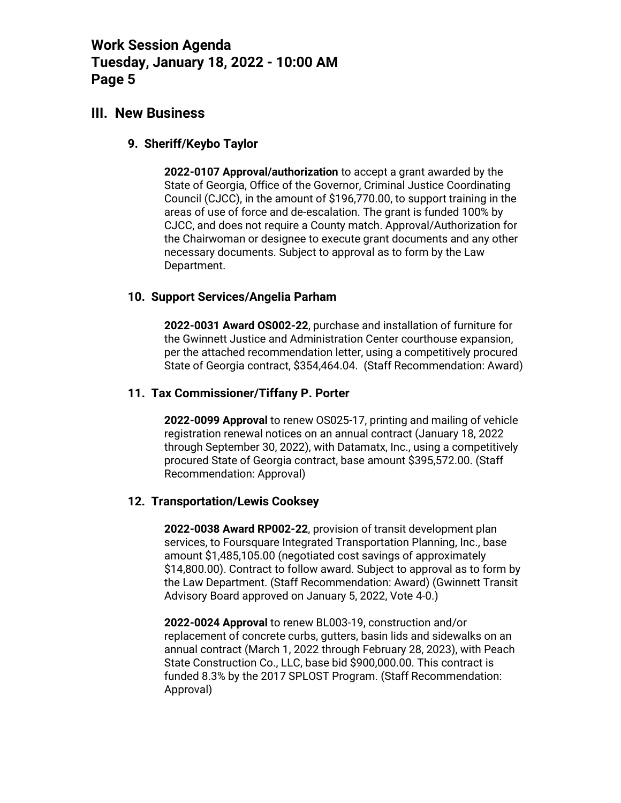# **III. New Business**

### **9. Sheriff/Keybo Taylor**

**2022-0107 Approval/authorization** to accept a grant awarded by the State of Georgia, Office of the Governor, Criminal Justice Coordinating Council (CJCC), in the amount of \$196,770.00, to support training in the areas of use of force and de-escalation. The grant is funded 100% by CJCC, and does not require a County match. Approval/Authorization for the Chairwoman or designee to execute grant documents and any other necessary documents. Subject to approval as to form by the Law Department.

## **10. Support Services/Angelia Parham**

**2022-0031 Award OS002-22**, purchase and installation of furniture for the Gwinnett Justice and Administration Center courthouse expansion, per the attached recommendation letter, using a competitively procured State of Georgia contract, \$354,464.04. (Staff Recommendation: Award)

### **11. Tax Commissioner/Tiffany P. Porter**

**2022-0099 Approval** to renew OS025-17, printing and mailing of vehicle registration renewal notices on an annual contract (January 18, 2022 through September 30, 2022), with Datamatx, Inc., using a competitively procured State of Georgia contract, base amount \$395,572.00. (Staff Recommendation: Approval)

#### **12. Transportation/Lewis Cooksey**

**2022-0038 Award RP002-22**, provision of transit development plan services, to Foursquare Integrated Transportation Planning, Inc., base amount \$1,485,105.00 (negotiated cost savings of approximately \$14,800.00). Contract to follow award. Subject to approval as to form by the Law Department. (Staff Recommendation: Award) (Gwinnett Transit Advisory Board approved on January 5, 2022, Vote 4-0.)

**2022-0024 Approval** to renew BL003-19, construction and/or replacement of concrete curbs, gutters, basin lids and sidewalks on an annual contract (March 1, 2022 through February 28, 2023), with Peach State Construction Co., LLC, base bid \$900,000.00. This contract is funded 8.3% by the 2017 SPLOST Program. (Staff Recommendation: Approval)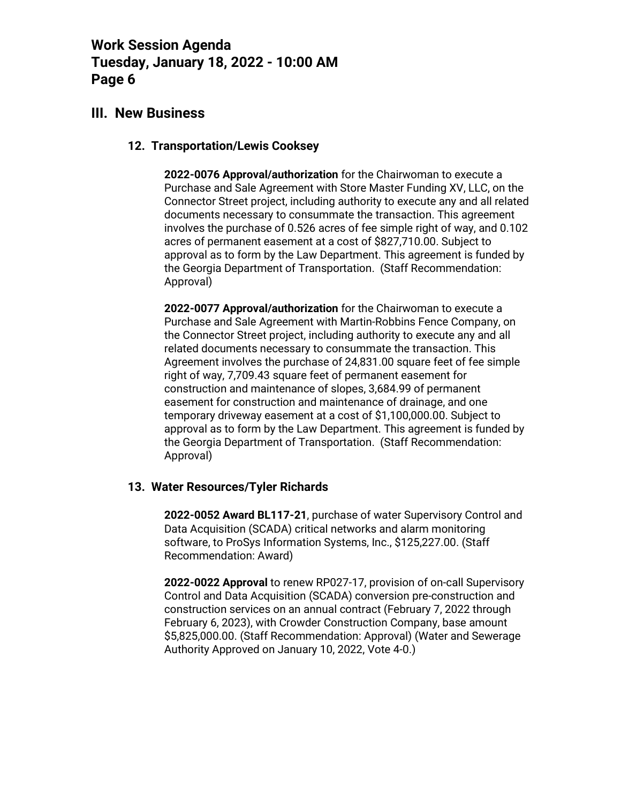# **III. New Business**

## **12. Transportation/Lewis Cooksey**

**2022-0076 Approval/authorization** for the Chairwoman to execute a Purchase and Sale Agreement with Store Master Funding XV, LLC, on the Connector Street project, including authority to execute any and all related documents necessary to consummate the transaction. This agreement involves the purchase of 0.526 acres of fee simple right of way, and 0.102 acres of permanent easement at a cost of \$827,710.00. Subject to approval as to form by the Law Department. This agreement is funded by the Georgia Department of Transportation. (Staff Recommendation: Approval)

**2022-0077 Approval/authorization** for the Chairwoman to execute a Purchase and Sale Agreement with Martin-Robbins Fence Company, on the Connector Street project, including authority to execute any and all related documents necessary to consummate the transaction. This Agreement involves the purchase of 24,831.00 square feet of fee simple right of way, 7,709.43 square feet of permanent easement for construction and maintenance of slopes, 3,684.99 of permanent easement for construction and maintenance of drainage, and one temporary driveway easement at a cost of \$1,100,000.00. Subject to approval as to form by the Law Department. This agreement is funded by the Georgia Department of Transportation. (Staff Recommendation: Approval)

## **13. Water Resources/Tyler Richards**

**2022-0052 Award BL117-21**, purchase of water Supervisory Control and Data Acquisition (SCADA) critical networks and alarm monitoring software, to ProSys Information Systems, Inc., \$125,227.00. (Staff Recommendation: Award)

**2022-0022 Approval** to renew RP027-17, provision of on-call Supervisory Control and Data Acquisition (SCADA) conversion pre-construction and construction services on an annual contract (February 7, 2022 through February 6, 2023), with Crowder Construction Company, base amount \$5,825,000.00. (Staff Recommendation: Approval) (Water and Sewerage Authority Approved on January 10, 2022, Vote 4-0.)